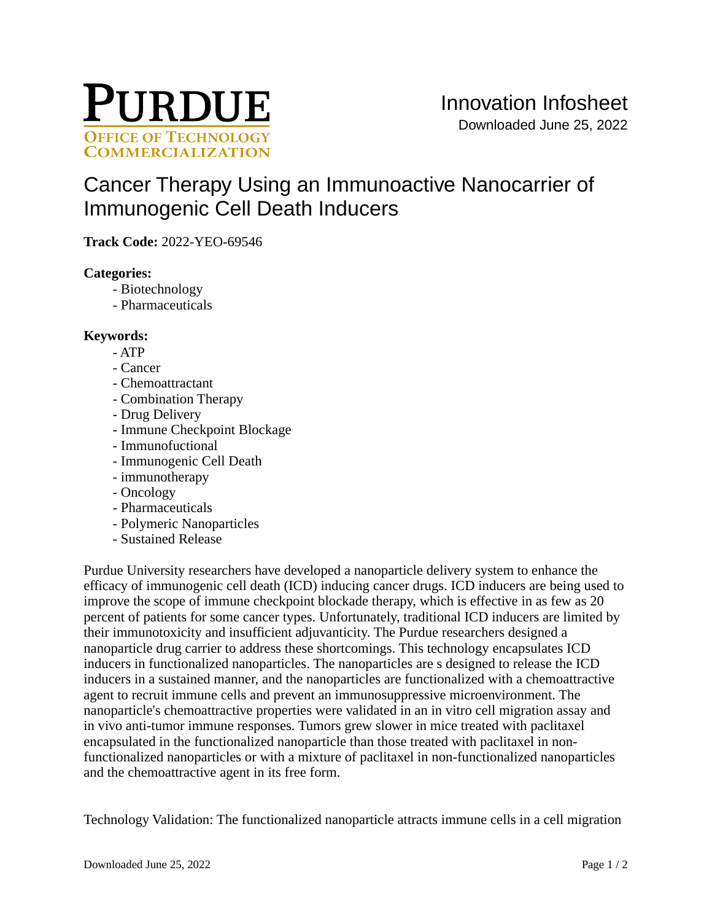

# [Cancer Therapy Using an Immunoactive Nanocarrier of](https://inventions.prf.org/innovation/8157)  [Immunogenic Cell Death Inducers](https://inventions.prf.org/innovation/8157)

**Track Code:** 2022-YEO-69546

## **Categories:**

- Biotechnology
- Pharmaceuticals

#### **Keywords:**

- ATP
- Cancer
- Chemoattractant
- Combination Therapy
- Drug Delivery
- Immune Checkpoint Blockage
- Immunofuctional
- Immunogenic Cell Death
- immunotherapy
- Oncology
- Pharmaceuticals
- Polymeric Nanoparticles
- Sustained Release

Purdue University researchers have developed a nanoparticle delivery system to enhance the efficacy of immunogenic cell death (ICD) inducing cancer drugs. ICD inducers are being used to improve the scope of immune checkpoint blockade therapy, which is effective in as few as 20 percent of patients for some cancer types. Unfortunately, traditional ICD inducers are limited by their immunotoxicity and insufficient adjuvanticity. The Purdue researchers designed a nanoparticle drug carrier to address these shortcomings. This technology encapsulates ICD inducers in functionalized nanoparticles. The nanoparticles are s designed to release the ICD inducers in a sustained manner, and the nanoparticles are functionalized with a chemoattractive agent to recruit immune cells and prevent an immunosuppressive microenvironment. The nanoparticle's chemoattractive properties were validated in an in vitro cell migration assay and in vivo anti-tumor immune responses. Tumors grew slower in mice treated with paclitaxel encapsulated in the functionalized nanoparticle than those treated with paclitaxel in nonfunctionalized nanoparticles or with a mixture of paclitaxel in non-functionalized nanoparticles and the chemoattractive agent in its free form.

Technology Validation: The functionalized nanoparticle attracts immune cells in a cell migration